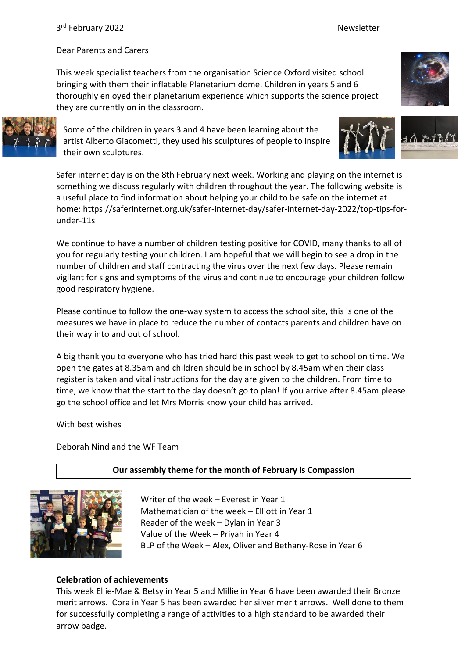Dear Parents and Carers

This week specialist teachers from the organisation Science Oxford visited school bringing with them their inflatable Planetarium dome. Children in years 5 and 6 thoroughly enjoyed their planetarium experience which supports the science project they are currently on in the classroom.



Some of the children in years 3 and 4 have been learning about the artist Alberto Giacometti, they used his sculptures of people to inspire their own sculptures.



Safer internet day is on the 8th February next week. Working and playing on the internet is something we discuss regularly with children throughout the year. The following website is a useful place to find information about helping your child to be safe on the internet at home: https://saferinternet.org.uk/safer-internet-day/safer-internet-day-2022/top-tips-forunder-11s

We continue to have a number of children testing positive for COVID, many thanks to all of you for regularly testing your children. I am hopeful that we will begin to see a drop in the number of children and staff contracting the virus over the next few days. Please remain vigilant for signs and symptoms of the virus and continue to encourage your children follow good respiratory hygiene.

Please continue to follow the one-way system to access the school site, this is one of the measures we have in place to reduce the number of contacts parents and children have on their way into and out of school.

A big thank you to everyone who has tried hard this past week to get to school on time. We open the gates at 8.35am and children should be in school by 8.45am when their class register is taken and vital instructions for the day are given to the children. From time to time, we know that the start to the day doesn't go to plan! If you arrive after 8.45am please go the school office and let Mrs Morris know your child has arrived.

With best wishes

Deborah Nind and the WF Team

# **Our assembly theme for the month of February is Compassion**



Writer of the week – Everest in Year 1 Mathematician of the week – Elliott in Year 1 Reader of the week – Dylan in Year 3 Value of the Week – Priyah in Year 4 BLP of the Week – Alex, Oliver and Bethany-Rose in Year 6

## **Celebration of achievements**

This week Ellie-Mae & Betsy in Year 5 and Millie in Year 6 have been awarded their Bronze merit arrows. Cora in Year 5 has been awarded her silver merit arrows. Well done to them for successfully completing a range of activities to a high standard to be awarded their arrow badge.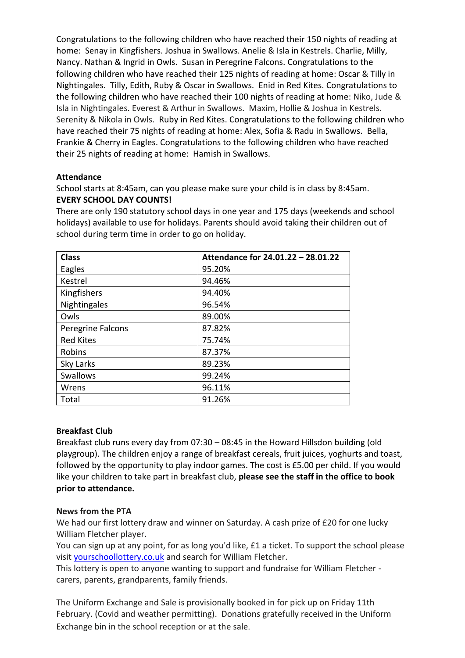Congratulations to the following children who have reached their 150 nights of reading at home: Senay in Kingfishers. Joshua in Swallows. Anelie & Isla in Kestrels. Charlie, Milly, Nancy. Nathan & Ingrid in Owls. Susan in Peregrine Falcons. Congratulations to the following children who have reached their 125 nights of reading at home: Oscar & Tilly in Nightingales. Tilly, Edith, Ruby & Oscar in Swallows. Enid in Red Kites. Congratulations to the following children who have reached their 100 nights of reading at home: Niko, Jude & Isla in Nightingales. Everest & Arthur in Swallows. Maxim, Hollie & Joshua in Kestrels. Serenity & Nikola in Owls. Ruby in Red Kites. Congratulations to the following children who have reached their 75 nights of reading at home: Alex, Sofia & Radu in Swallows. Bella, Frankie & Cherry in Eagles. Congratulations to the following children who have reached their 25 nights of reading at home: Hamish in Swallows.

## **Attendance**

School starts at 8:45am, can you please make sure your child is in class by 8:45am. **EVERY SCHOOL DAY COUNTS!**

There are only 190 statutory school days in one year and 175 days (weekends and school holidays) available to use for holidays. Parents should avoid taking their children out of school during term time in order to go on holiday.

| <b>Class</b>      | Attendance for 24.01.22 - 28.01.22 |
|-------------------|------------------------------------|
| Eagles            | 95.20%                             |
| Kestrel           | 94.46%                             |
| Kingfishers       | 94.40%                             |
| Nightingales      | 96.54%                             |
| Owls              | 89.00%                             |
| Peregrine Falcons | 87.82%                             |
| <b>Red Kites</b>  | 75.74%                             |
| Robins            | 87.37%                             |
| Sky Larks         | 89.23%                             |
| Swallows          | 99.24%                             |
| Wrens             | 96.11%                             |
| Total             | 91.26%                             |

#### **Breakfast Club**

Breakfast club runs every day from 07:30 – 08:45 in the Howard Hillsdon building (old playgroup). The children enjoy a range of breakfast cereals, fruit juices, yoghurts and toast, followed by the opportunity to play indoor games. The cost is £5.00 per child. If you would like your children to take part in breakfast club, **please see the staff in the office to book prior to attendance.**

#### **News from the PTA**

We had our first lottery draw and winner on Saturday. A cash prize of £20 for one lucky William Fletcher player.

You can sign up at any point, for as long you'd like, £1 a ticket. To support the school please visit [yourschoollottery.co.uk](http://yourschoollottery.co.uk/) and search for William Fletcher.

This lottery is open to anyone wanting to support and fundraise for William Fletcher carers, parents, grandparents, family friends.

The Uniform Exchange and Sale is provisionally booked in for pick up on Friday 11th February. (Covid and weather permitting). Donations gratefully received in the Uniform Exchange bin in the school reception or at the sale.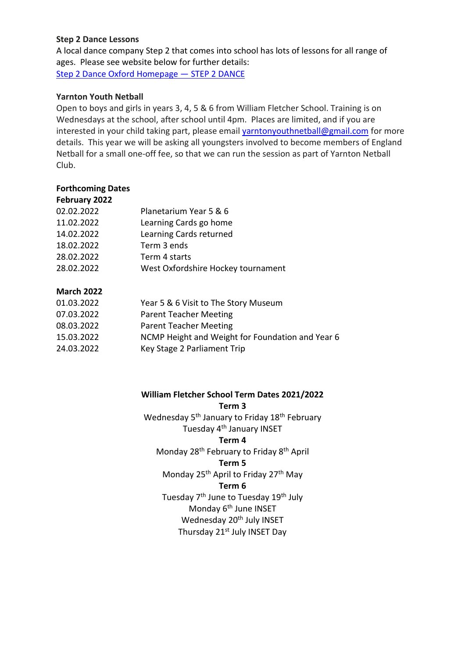## **Step 2 Dance Lessons**

A local dance company Step 2 that comes into school has lots of lessons for all range of ages. Please see website below for further details: [Step 2 Dance Oxford Homepage](https://www.step2dance.co.uk/home) — STEP 2 DANCE

## **Yarnton Youth Netball**

Open to boys and girls in years 3, 4, 5 & 6 from William Fletcher School. Training is on Wednesdays at the school, after school until 4pm. Places are limited, and if you are interested in your child taking part, please email [yarntonyouthnetball@gmail.com](mailto:yarntonyouthnetball@gmail.com) for more details. This year we will be asking all youngsters involved to become members of England Netball for a small one-off fee, so that we can run the session as part of Yarnton Netball Club.

## **Forthcoming Dates**

| February 2022 |                                    |
|---------------|------------------------------------|
| 02.02.2022    | Planetarium Year 5 & 6             |
| 11.02.2022    | Learning Cards go home             |
| 14.02.2022    | Learning Cards returned            |
| 18.02.2022    | Term 3 ends                        |
| 28.02.2022    | Term 4 starts                      |
| 28.02.2022    | West Oxfordshire Hockey tournament |
|               |                                    |

## **March 2022**

| 01.03.2022 | Year 5 & 6 Visit to The Story Museum             |
|------------|--------------------------------------------------|
| 07.03.2022 | <b>Parent Teacher Meeting</b>                    |
| 08.03.2022 | <b>Parent Teacher Meeting</b>                    |
| 15.03.2022 | NCMP Height and Weight for Foundation and Year 6 |
| 24.03.2022 | Key Stage 2 Parliament Trip                      |
|            |                                                  |

#### **William Fletcher School Term Dates 2021/2022**

**Term 3**

Wednesday 5<sup>th</sup> January to Friday 18<sup>th</sup> February Tuesday 4<sup>th</sup> January INSET

#### **Term 4**

Monday 28<sup>th</sup> February to Friday 8<sup>th</sup> April

**Term 5**

Monday 25<sup>th</sup> April to Friday 27<sup>th</sup> May

#### **Term 6**

Tuesday 7<sup>th</sup> June to Tuesday 19<sup>th</sup> July Monday 6<sup>th</sup> June INSET Wednesday 20<sup>th</sup> July INSET Thursday 21<sup>st</sup> July INSET Day